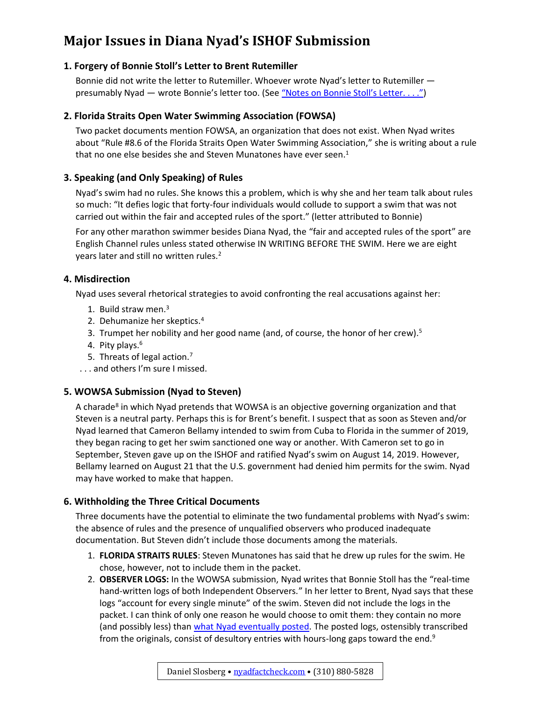# **Major Issues in Diana Nyad's ISHOF Submission**

# **1. Forgery of Bonnie Stoll's Letter to Brent Rutemiller**

Bonnie did not write the letter to Rutemiller. Whoever wrote Nyad's letter to Rutemiller presumably Nyad — wrote Bonnie's letter too. (See ["Notes on Bonnie Stoll's Letter. . . ."](https://nyadfactcheck.com/packet/notes-on-forged-letter.pdf))

# **2. Florida Straits Open Water Swimming Association (FOWSA)**

Two packet documents mention FOWSA, an organization that does not exist. When Nyad writes about "Rule #8.6 of the Florida Straits Open Water Swimming Association," she is writing about a rule that no one else besides she and Steven Munatones have ever seen.<sup>1</sup>

# **3. Speaking (and Only Speaking) of Rules**

Nyad's swim had no rules. She knows this a problem, which is why she and her team talk about rules so much: "It defies logic that forty-four individuals would collude to support a swim that was not carried out within the fair and accepted rules of the sport." (letter attributed to Bonnie)

For any other marathon swimmer besides Diana Nyad, the "fair and accepted rules of the sport" are English Channel rules unless stated otherwise IN WRITING BEFORE THE SWIM. Here we are eight years later and still no written rules.<sup>2</sup>

### **4. Misdirection**

Nyad uses several rhetorical strategies to avoid confronting the real accusations against her:

- 1. Build straw men. 3
- 2. Dehumanize her skeptics. 4
- 3. Trumpet her nobility and her good name (and, of course, the honor of her crew).<sup>5</sup>
- 4. Pity plays. 6
- 5. Threats of legal action.<sup>7</sup>
- . . . and others I'm sure I missed.

### **5. WOWSA Submission (Nyad to Steven)**

A charade<sup>8</sup> in which Nyad pretends that WOWSA is an objective governing organization and that Steven is a neutral party. Perhaps this is for Brent's benefit. I suspect that as soon as Steven and/or Nyad learned that Cameron Bellamy intended to swim from Cuba to Florida in the summer of 2019, they began racing to get her swim sanctioned one way or another. With Cameron set to go in September, Steven gave up on the ISHOF and ratified Nyad's swim on August 14, 2019. However, Bellamy learned on August 21 that the U.S. government had denied him permits for the swim. Nyad may have worked to make that happen.

### **6. Withholding the Three Critical Documents**

Three documents have the potential to eliminate the two fundamental problems with Nyad's swim: the absence of rules and the presence of unqualified observers who produced inadequate documentation. But Steven didn't include those documents among the materials.

- 1. **FLORIDA STRAITS RULES**: Steven Munatones has said that he drew up rules for the swim. He chose, however, not to include them in the packet.
- 2. **OBSERVER LOGS:** In the WOWSA submission, Nyad writes that Bonnie Stoll has the "real-time hand-written logs of both Independent Observers." In her letter to Brent, Nyad says that these logs "account for every single minute" of the swim. Steven did not include the logs in the packet. I can think of only one reason he would choose to omit them: they contain no more (and possibly less) than [what Nyad eventually posted.](https://nyadfactcheck.com/documents/combined-logs.pdf) The posted logs, ostensibly transcribed from the originals, consist of desultory entries with hours-long gaps toward the end.<sup>9</sup>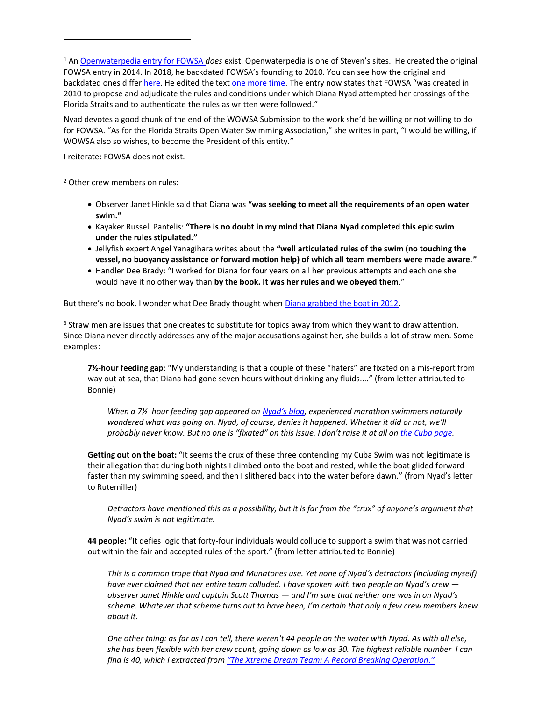<sup>1</sup> An [Openwaterpedia entry for FOWSA](https://www.openwaterpedia.com/wiki/Florida_Straits_Open_Water_Swimming_Association) *does* exist. Openwaterpedia is one of Steven's sites. He created the original FOWSA entry in 2014. In 2018, he backdated FOWSA's founding to 2010. You can see how the original and backdated ones diffe[r here.](https://www.openwaterpedia.com/index.php?title=Florida_Straits_Open_Water_Swimming_Association&type=revision&diff=459370&oldid=355068) He edited the text [one more time.](https://www.openwaterpedia.com/index.php?title=Florida_Straits_Open_Water_Swimming_Association&diff=prev&oldid=471401) The entry now states that FOWSA "was created in 2010 to propose and adjudicate the rules and conditions under which Diana Nyad attempted her crossings of the Florida Straits and to authenticate the rules as written were followed."

Nyad devotes a good chunk of the end of the WOWSA Submission to the work she'd be willing or not willing to do for FOWSA. "As for the Florida Straits Open Water Swimming Association," she writes in part, "I would be willing, if WOWSA also so wishes, to become the President of this entity."

I reiterate: FOWSA does not exist.

<sup>2</sup> Other crew members on rules:

- Observer Janet Hinkle said that Diana was **"was seeking to meet all the requirements of an open water swim."**
- Kayaker Russell Pantelis: **"There is no doubt in my mind that Diana Nyad completed this epic swim under the rules stipulated."**
- Jellyfish expert Angel Yanagihara writes about the **"well articulated rules of the swim (no touching the vessel, no buoyancy assistance or forward motion help) of which all team members were made aware."**
- Handler Dee Brady: "I worked for Diana for four years on all her previous attempts and each one she would have it no other way than **by the book. It was her rules and we obeyed them**."

But there's no book. I wonder what Dee Brady thought when [Diana grabbed the boat in 2012.](https://youtu.be/OA5P6eeoGZM)

<sup>3</sup> Straw men are issues that one creates to substitute for topics away from which they want to draw attention. Since Diana never directly addresses any of the major accusations against her, she builds a lot of straw men. Some examples:

**7½-hour feeding gap**: "My understanding is that a couple of these "haters" are fixated on a mis-report from way out at sea, that Diana had gone seven hours without drinking any fluids...." (from letter attributed to Bonnie)

*When a 7½ hour feeding gap appeared on Nyad'[s blog,](http://diananyad.com/doctors-report-715am-730am/) experienced marathon swimmers naturally wondered what was going on. Nyad, of course, denies it happened. Whether it did or not, we'll probably never know. But no one is "fixated" on this issue. I don't raise it at all on the [Cuba page.](https://nyadfactcheck.com/cuba.html)* 

**Getting out on the boat:** "It seems the crux of these three contending my Cuba Swim was not legitimate is their allegation that during both nights I climbed onto the boat and rested, while the boat glided forward faster than my swimming speed, and then I slithered back into the water before dawn." (from Nyad's letter to Rutemiller)

*Detractors have mentioned this as a possibility, but it is far from the "crux" of anyone's argument that Nyad's swim is not legitimate.*

**44 people:** "It defies logic that forty-four individuals would collude to support a swim that was not carried out within the fair and accepted rules of the sport." (from letter attributed to Bonnie)

*This is a common trope that Nyad and Munatones use. Yet none of Nyad's detractors (including myself) have ever claimed that her entire team colluded. I have spoken with two people on Nyad's crew observer Janet Hinkle and captain Scott Thomas — and I'm sure that neither one was in on Nyad's scheme. Whatever that scheme turns out to have been, I'm certain that only a few crew members knew about it.* 

*One other thing: as far as I can tell, there weren't 44 people on the water with Nyad. As with all else, she has been flexible with her crew count, going down as low as 30. The highest reliable number I can find is 40, which I extracted from "[The Xtreme Dream Team: A Record Breaking Operation.](https://fishmonster.com/blogs/fishmonster-magazine-1/the-xtreme-dream-team-a-record-breaking-operation)"*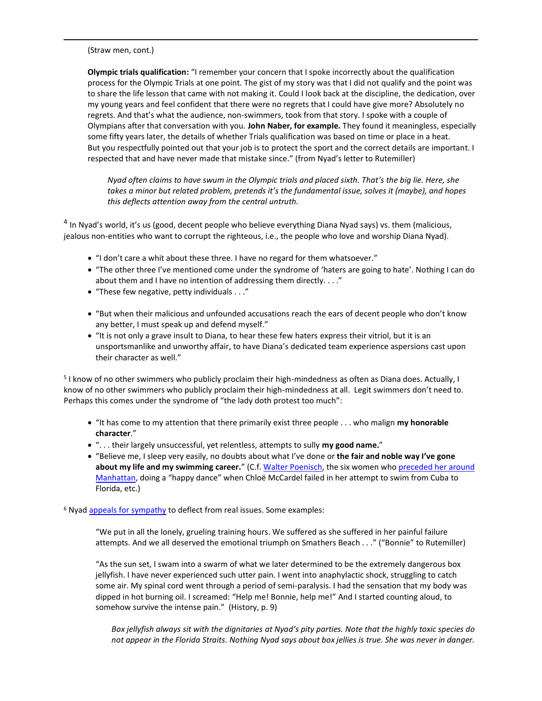(Straw men, cont.)

**Olympic trials qualification:** "I remember your concern that I spoke incorrectly about the qualification process for the Olympic Trials at one point. The gist of my story was that I did not qualify and the point was to share the life lesson that came with not making it. Could I look back at the discipline, the dedication, over my young years and feel confident that there were no regrets that I could have give more? Absolutely no regrets. And that's what the audience, non-swimmers, took from that story. I spoke with a couple of Olympians after that conversation with you. **John Naber, for example.** They found it meaningless, especially some fifty years later, the details of whether Trials qualification was based on time or place in a heat. But you respectfully pointed out that your job is to protect the sport and the correct details are important. I respected that and have never made that mistake since." (from Nyad's letter to Rutemiller)

*Nyad often claims to have swum in the Olympic trials and placed sixth. That's the big lie. Here, she takes a minor but related problem, pretends it's the fundamental issue, solves it (maybe), and hopes this deflects attention away from the central untruth.*

<sup>4</sup> In Nyad's world, it's us (good, decent people who believe everything Diana Nyad says) vs. them (malicious, jealous non-entities who want to corrupt the righteous, i.e., the people who love and worship Diana Nyad).

- "I don't care a whit about these three. I have no regard for them whatsoever."
- "The other three I've mentioned come under the syndrome of 'haters are going to hate'. Nothing I can do about them and I have no intention of addressing them directly. . . ."
- "These few negative, petty individuals . . ."
- "But when their malicious and unfounded accusations reach the ears of decent people who don't know any better, I must speak up and defend myself."
- "It is not only a grave insult to Diana, to hear these few haters express their vitriol, but it is an unsportsmanlike and unworthy affair, to have Diana's dedicated team experience aspersions cast upon their character as well."

<sup>5</sup> I know of no other swimmers who publicly proclaim their high-mindedness as often as Diana does. Actually, I know of no other swimmers who publicly proclaim their high-mindedness at all. Legit swimmers don't need to. Perhaps this comes under the syndrome of "the lady doth protest too much":

- "It has come to my attention that there primarily exist three people . . . who malign **my honorable character**."
- ". . . their largely unsuccessful, yet relentless, attempts to sully **my good name.**"
- "Believe me, I sleep very easily, no doubts about what I've done or **the fair and noble way I've gone**  about my life and my swimming career." (C.f[. Walter Poenisch,](https://nyadfactcheck.com/details_poenisch.html) the six women who preceded her around [Manhattan,](https://nyadfactcheck.com/details_manhattan.html) doing a "happy dance" when Chloë McCardel failed in her attempt to swim from Cuba to Florida, etc.)

<sup>6</sup> Nyad [appeals for sympathy](https://www.logicallyfallacious.com/logicalfallacies/Appeal-to-Pity) to deflect from real issues. Some examples:

"We put in all the lonely, grueling training hours. We suffered as she suffered in her painful failure attempts. And we all deserved the emotional triumph on Smathers Beach . . ." ("Bonnie" to Rutemiller)

"As the sun set, I swam into a swarm of what we later determined to be the extremely dangerous box jellyfish. I have never experienced such utter pain. I went into anaphylactic shock, struggling to catch some air. My spinal cord went through a period of semi-paralysis. I had the sensation that my body was dipped in hot burning oil. I screamed: "Help me! Bonnie, help me!" And I started counting aloud, to somehow survive the intense pain." (History, p. 9)

*Box jellyfish always sit with the dignitaries at Nyad's pity parties. Note that the highly toxic species do not appear in the Florida Straits. Nothing Nyad says about box jellies is true. She was never in danger.*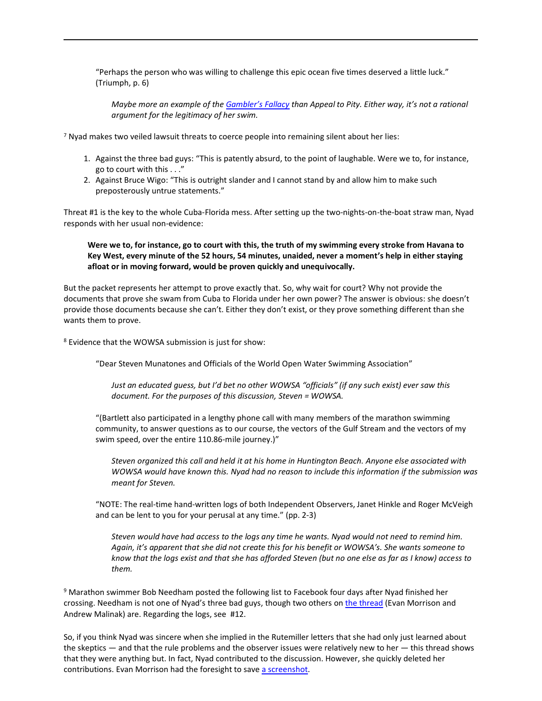"Perhaps the person who was willing to challenge this epic ocean five times deserved a little luck." (Triumph, p. 6)

*Maybe more an example of the [Gambler](https://effectiviology.com/gamblers-fallacy/)'s Fallacy than Appeal to Pity. Either way, it's not a rational argument for the legitimacy of her swim.*

<sup>7</sup> Nyad makes two veiled lawsuit threats to coerce people into remaining silent about her lies:

- 1. Against the three bad guys: "This is patently absurd, to the point of laughable. Were we to, for instance, go to court with this . . ."
- 2. Against Bruce Wigo: "This is outright slander and I cannot stand by and allow him to make such preposterously untrue statements."

Threat #1 is the key to the whole Cuba-Florida mess. After setting up the two-nights-on-the-boat straw man, Nyad responds with her usual non-evidence:

**Were we to, for instance, go to court with this, the truth of my swimming every stroke from Havana to Key West, every minute of the 52 hours, 54 minutes, unaided, never a moment's help in either staying afloat or in moving forward, would be proven quickly and unequivocally.**

But the packet represents her attempt to prove exactly that. So, why wait for court? Why not provide the documents that prove she swam from Cuba to Florida under her own power? The answer is obvious: she doesn't provide those documents because she can't. Either they don't exist, or they prove something different than she wants them to prove.

<sup>8</sup> Evidence that the WOWSA submission is just for show:

"Dear Steven Munatones and Officials of the World Open Water Swimming Association"

*Just an educated guess, but I'd bet no other WOWSA "officials" (if any such exist) ever saw this document. For the purposes of this discussion, Steven = WOWSA.*

"(Bartlett also participated in a lengthy phone call with many members of the marathon swimming community, to answer questions as to our course, the vectors of the Gulf Stream and the vectors of my swim speed, over the entire 110.86-mile journey.)"

*Steven organized this call and held it at his home in Huntington Beach. Anyone else associated with WOWSA would have known this. Nyad had no reason to include this information if the submission was meant for Steven.*

"NOTE: The real-time hand-written logs of both Independent Observers, Janet Hinkle and Roger McVeigh and can be lent to you for your perusal at any time." (pp. 2-3)

*Steven would have had access to the logs any time he wants. Nyad would not need to remind him. Again, it's apparent that she did not create this for his benefit or WOWSA's. She wants someone to know that the logs exist and that she has afforded Steven (but no one else as far as I know) access to them.*

<sup>9</sup> Marathon swimmer Bob Needham posted the following list to Facebook four days after Nyad finished her crossing. Needham is not one of Nyad's three bad guys, though two others on [the thread](https://www.facebook.com/evmor/posts/10100111527923952) (Evan Morrison and Andrew Malinak) are. Regarding the logs, see #12.

So, if you think Nyad was sincere when she implied in the Rutemiller letters that she had only just learned about the skeptics — and that the rule problems and the observer issues were relatively new to her — this thread shows that they were anything but. In fact, Nyad contributed to the discussion. However, she quickly deleted her contributions. Evan Morrison had the foresight to save [a screenshot.](https://evanmorrison.com/swim/img/2013/nyad/2013-10-09-16_21_09-Evan-Morrison.png)